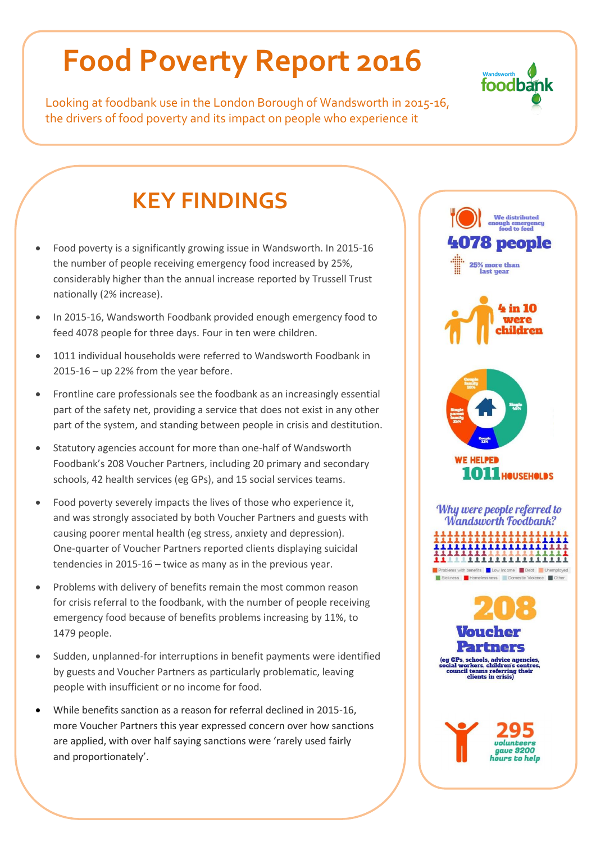# **Food Poverty Report 2016**

Looking at foodbank use in the London Borough of Wandsworth in 2015-16, the drivers of food poverty and its impact on people who experience it

### **KEY FINDINGS**

- Food poverty is a significantly growing issue in Wandsworth. In 2015-16 the number of people receiving emergency food increased by 25%, considerably higher than the annual increase reported by Trussell Trust nationally (2% increase).
- In 2015-16, Wandsworth Foodbank provided enough emergency food to feed 4078 people for three days. Four in ten were children.
- 1011 individual households were referred to Wandsworth Foodbank in 2015-16 – up 22% from the year before.
- Frontline care professionals see the foodbank as an increasingly essential part of the safety net, providing a service that does not exist in any other part of the system, and standing between people in crisis and destitution.
- Statutory agencies account for more than one-half of Wandsworth Foodbank's 208 Voucher Partners, including 20 primary and secondary schools, 42 health services (eg GPs), and 15 social services teams.
- Food poverty severely impacts the lives of those who experience it, and was strongly associated by both Voucher Partners and guests with causing poorer mental health (eg stress, anxiety and depression). One-quarter of Voucher Partners reported clients displaying suicidal tendencies in 2015-16 – twice as many as in the previous year.
- Problems with delivery of benefits remain the most common reason for crisis referral to the foodbank, with the number of people receiving emergency food because of benefits problems increasing by 11%, to 1479 people.
- Sudden, unplanned-for interruptions in benefit payments were identified by guests and Voucher Partners as particularly problematic, leaving people with insufficient or no income for food.
- While benefits sanction as a reason for referral declined in 2015-16, more Voucher Partners this year expressed concern over how sanctions are applied, with over half saying sanctions were 'rarely used fairly and proportionately'.



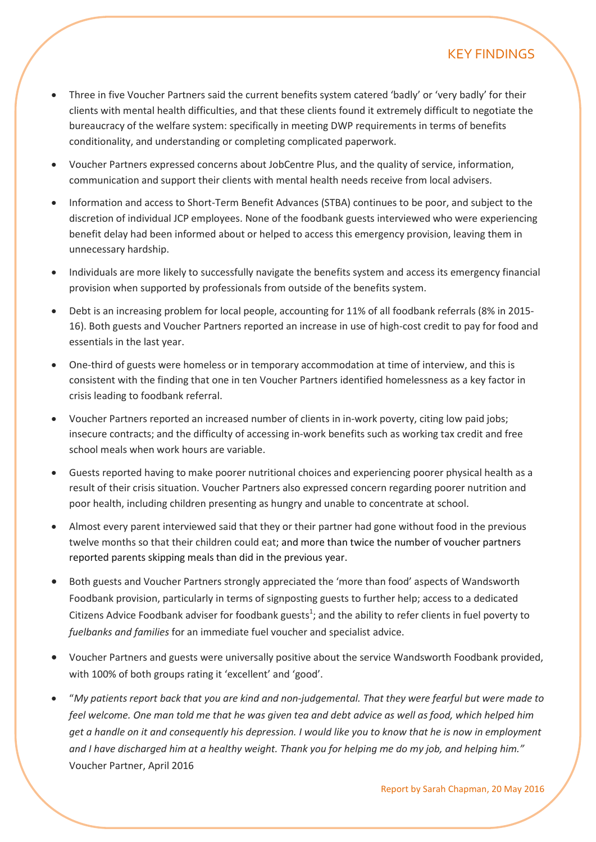#### KEY FINDINGS

- Three in five Voucher Partners said the current benefits system catered 'badly' or 'very badly' for their clients with mental health difficulties, and that these clients found it extremely difficult to negotiate the bureaucracy of the welfare system: specifically in meeting DWP requirements in terms of benefits conditionality, and understanding or completing complicated paperwork.
- Voucher Partners expressed concerns about JobCentre Plus, and the quality of service, information, communication and support their clients with mental health needs receive from local advisers.
- Information and access to Short-Term Benefit Advances (STBA) continues to be poor, and subject to the discretion of individual JCP employees. None of the foodbank guests interviewed who were experiencing benefit delay had been informed about or helped to access this emergency provision, leaving them in unnecessary hardship.
- Individuals are more likely to successfully navigate the benefits system and access its emergency financial provision when supported by professionals from outside of the benefits system.
- Debt is an increasing problem for local people, accounting for 11% of all foodbank referrals (8% in 2015- 16). Both guests and Voucher Partners reported an increase in use of high-cost credit to pay for food and essentials in the last year.
- One-third of guests were homeless or in temporary accommodation at time of interview, and this is consistent with the finding that one in ten Voucher Partners identified homelessness as a key factor in crisis leading to foodbank referral.
- Voucher Partners reported an increased number of clients in in-work poverty, citing low paid jobs; insecure contracts; and the difficulty of accessing in-work benefits such as working tax credit and free school meals when work hours are variable.
- Guests reported having to make poorer nutritional choices and experiencing poorer physical health as a result of their crisis situation. Voucher Partners also expressed concern regarding poorer nutrition and poor health, including children presenting as hungry and unable to concentrate at school.
- Almost every parent interviewed said that they or their partner had gone without food in the previous twelve months so that their children could eat; and more than twice the number of voucher partners reported parents skipping meals than did in the previous year.
- Both guests and Voucher Partners strongly appreciated the 'more than food' aspects of Wandsworth Foodbank provision, particularly in terms of signposting guests to further help; access to a dedicated Citizens Advice Foodbank adviser for foodbank guests<sup>1</sup>; and the ability to refer clients in fuel poverty to *fuelbanks and families* for an immediate fuel voucher and specialist advice.
- Voucher Partners and guests were universally positive about the service Wandsworth Foodbank provided, with 100% of both groups rating it 'excellent' and 'good'.
- "*My patients report back that you are kind and non-judgemental. That they were fearful but were made to feel welcome. One man told me that he was given tea and debt advice as well as food, which helped him get a handle on it and consequently his depression. I would like you to know that he is now in employment and I have discharged him at a healthy weight. Thank you for helping me do my job, and helping him."*  Voucher Partner, April 2016

sarah@wandsworth.fooodbank.org.uk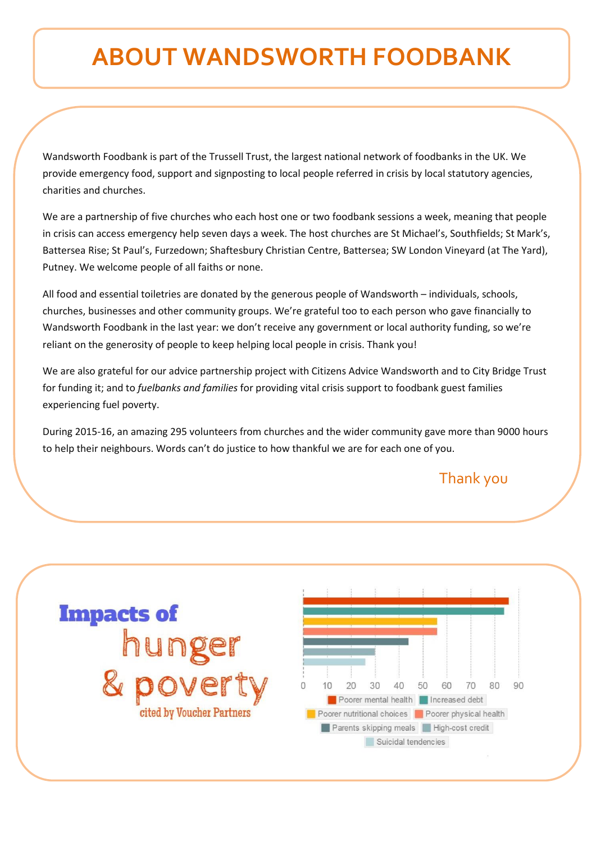## **ABOUT WANDSWORTH FOODBANK**

Wandsworth Foodbank is part of the Trussell Trust, the largest national network of foodbanks in the UK. We provide emergency food, support and signposting to local people referred in crisis by local statutory agencies, charities and churches.

We are a partnership of five churches who each host one or two foodbank sessions a week, meaning that people in crisis can access emergency help seven days a week. The host churches are St Michael's, Southfields; St Mark's, Battersea Rise; St Paul's, Furzedown; Shaftesbury Christian Centre, Battersea; SW London Vineyard (at The Yard), Putney. We welcome people of all faiths or none.

All food and essential toiletries are donated by the generous people of Wandsworth – individuals, schools, churches, businesses and other community groups. We're grateful too to each person who gave financially to Wandsworth Foodbank in the last year: we don't receive any government or local authority funding, so we're reliant on the generosity of people to keep helping local people in crisis. Thank you!

We are also grateful for our advice partnership project with Citizens Advice Wandsworth and to City Bridge Trust for funding it; and to *fuelbanks and families* for providing vital crisis support to foodbank guest families experiencing fuel poverty.

During 2015-16, an amazing 295 volunteers from churches and the wider community gave more than 9000 hours to help their neighbours. Words can't do justice to how thankful we are for each one of you.

Thank you